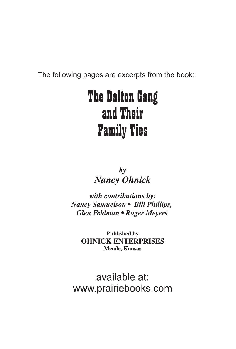The following pages are excerpts from the book:

## **The Dalton Gang** and Their **Family Ties**

 $\mathbf{b}$ **Nancy Ohnick** 

with contributions by: Nancy Samuelson • Bill Phillips, Glen Feldman • Roger Meyers

> **Published by OHNICK ENTERPRISES Meade, Kansas**

available at: www.prairiebooks.com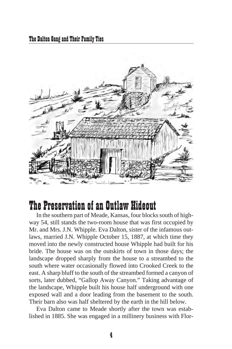

## The Preservation of an Outlaw Hideout

In the southern part of Meade, Kansas, four blocks south of highway 54, still stands the two-room house that was first occupied by Mr. and Mrs. J.N. Whipple. Eva Dalton, sister of the infamous outlaws, married J.N. Whipple October 15, 1887, at which time they moved into the newly constructed house Whipple had built for his bride. The house was on the outskirts of town in those days; the land scape dropped sharply from the house to a streambed to the south where water occasionally flowed into Crooked Creek to the east. A sharp bluff to the south of the streambed formed a canyon of sorts, later dubbed, "Gallop Away Canyon." Taking advantage of the land scape, Whipple built his house half underground with one exposed wall and a door leading from the basement to the south. Their barn also was half sheltered by the earth in the hill below.

Eva Dalton came to Meade shortly after the town was established in 1885. She was engaged in a millinery business with Flor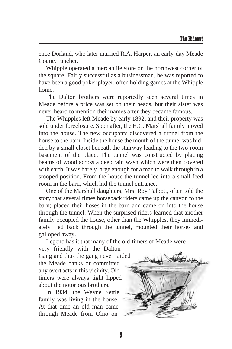ence Dorland, who later married R.A. Harper, an early-day Meade County rancher.

Whipple operated a mercantile store on the northwest corner of the square. Fairly successful as a businessman, he was reported to have been a good poker player, often holding games at the Whipple home.

The Dalton brothers were reportedly seen several times in Meade before a price was set on their heads, but their sister was never heard to mention their names after they became famous.

The Whipples left Meade by early 1892, and their property was sold under fore closure. Soon after, the H.G. Marshall family moved into the house. The new occupants discovered a tunnel from the house to the barn. Inside the house the mouth of the tunnel was hidden by a small closet beneath the stairway leading to the two-room basement of the place. The tunnel was constructed by placing beams of wood across a deep rain wash which were then covered with earth. It was barely large enough for a man to walk through in a stooped position. From the house the tunnel led into a small feed room in the barn, which hid the tunnel entrance.

One of the Marshall daughters, Mrs. Roy Talbott, often told the story that several times horseback riders came up the canyon to the barn; placed their hoses in the barn and came on into the house through the tunnel. When the surprised riders learned that another family occupied the house, other than the Whipples, they immediately fled back through the tunnel, mounted their horses and galloped away.

Legend has it that many of the old-timers of Meade were

very friendly with the Dalton Gang and thus the gang never raided the Meade banks or committed any overt acts in this vicinity. Old timers were always tight lipped about the notorious brothers.

In 1934, the Wayne Settle family was living in the house. At that time an old man came through Meade from Ohio on

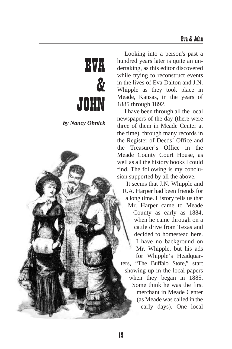# EVA  $\boldsymbol{\delta}$ JOHN

*by Nancy Ohnick* 

Looking into a person's past a hundred years later is quite an undertaking, as this editor discovered while trying to reconstruct events in the lives of Eva Dalton and J.N. Whipple as they took place in Meade, Kansas, in the years of 1885 through 1892.

I have been through all the local newspapers of the day (there were three of them in Meade Center at the time), through many records in the Register of Deeds' Office and the Treasurer's Office in the Meade County Court House, as well as all the history books I could find. The following is my conclusion supported by all the above.

It seems that J.N. Whipple and R.A. Harper had been friends for a long time. History tells us that Mr. Harper came to Meade County as early as 1884, when he came through on a cattle drive from Texas and decided to homestead here. I have no background on Mr. Whipple, but his ads for Whipple's Headquarters, "The Buffalo Store," start showing up in the local papers when they began in 1885. Some think he was the first merchant in Meade Center (as Meade was called in the early days). One local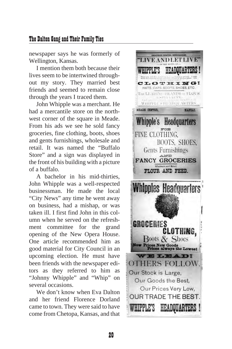#### The Dalton Gang and Their Family Ties

newspaper says he was formerly of Wellington, Kansas.

I mention them both because their lives seem to be intertwined throughout my story. They married best friends and seemed to remain close through the years I traced them.

John Whipple was a merchant. He had a mercantile store on the northwest corner of the square in Meade. From his ads we see he sold fancy groceries, fine clothing, boots, shoes and gents furnishings, wholesale and retail. It was named the "Buffalo Store" and a sign was displayed in the front of his building with a picture of a buffalo.

A bachelor in his mid-thirties, John Whipple was a well-respected businessman. He made the local "City News" any time he went away on business, had a mishap, or was taken ill. I first find John in this column when he served on the refreshment committee for the grand opening of the New Opera House. One article recommended him as good material for City Council in an upcoming election. He must have been friends with the newspaper editors as they re ferred to him as "Johnny Whipple" and "Whip" on several occasions.

We don't know when Eva Dalton and her friend Florence Dorland came to town. They were said to have come from Chetopa, Kansas, and that

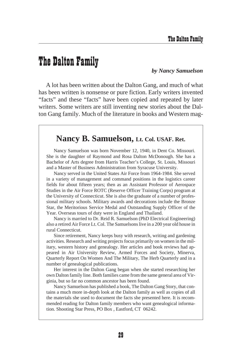### The Dalton Family

*by Nancy Samuelson*

A lot has been written about the Dalton Gang, and much of what has been written is nonsense or pure fiction. Early writers invented "facts" and these "facts" have been copied and repeated by later writers. Some writers are still inventing new stories about the Dalton Gang family. Much of the literature in books and Western mag-

#### **Nancy B. Samuelson, Lt. Col. USAF. Ret.**

Nancy Samuelson was born November 12, 1940, in Dent Co. Missouri. She is the daughter of Raymond and Rosa Dalton McDonough. She has a Bachelor of Arts degree from Harris Teacher's College, St. Louis, Missouri and a Master of Business Administration from Syracuse University.

Nancy served in the United States Air Force from 1964-1984. She served in a variety of management and command positions in the logistics career fields for about fifteen years; then as an Assistant Professor of Aerospace Studies in the Air Force ROTC (Reserve Officer Training Corps) program at the University of Connecticut. She is also the graduate of a number of professional military schools. Military awards and decorations include the Bronze Star, the Meritorious Service Medal and Outstanding Supply Officer of the Year. Overseas tours of duty were in England and Thailand.

Nancy is married to Dr. Reid R. Samuelson (PhD Electrical Engineering) also a re tired Air Force Lt. Col. The Samuelsons live in a 200 year old house in rural Connecticut.

Since retirement, Nancy keeps busy with research, writing and gardening activities. Research and writing projects focus primarily on women in the military, western history and genealogy. Her articles and book reviews had appeared in Air University Review, Armed Forces and Society, Minerva, Quarterly Report On Women And The Military, The Herb Quarterly and in a number of genealogical publications.

Her interest in the Dalton Gang began when she started researching her own Dalton family line. Both families came from the same general area of Virginia, but so far no common ancestor has been found.

Nancy Samuelson has published a book, The Dalton Gang Story, that contains a much more in-depth look at the Dalton family as well as copies of all the materials she used to document the facts she presented here. It is recommended reading for Dalton family members who want genealogical information. Shooting Star Press, PO Box, Eastford, CT 06242.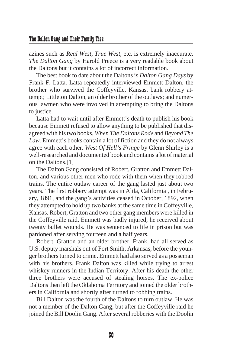#### The Dalton Gang and Their Family Ties

azines such as *Real West*, *True West*, etc. is extremely inaccurate. *The Dalton Gang* by Harold Preece is a very readable book about the Daltons but it contains a lot of incorrect information.

The best book to date about the Daltons is *Dalton Gang Days* by Frank F. Latta. Latta repeatedly interviewed Emmett Dalton, the brother who survived the Coffeyville, Kansas, bank robbery attempt; Littleton Dalton, an older brother of the outlaws; and numerous law men who were involved in attempting to bring the Daltons to justice.

Latta had to wait until after Emmett's death to publish his book because Emmett refused to allow anything to be published that disagreed with his two books, *When The Daltons Rode* and *Be yond The*  Law. Emmett's books contain a lot of fiction and they do not always agree with each other. *West Of Hell's Fringe* by Glenn Shirley is a well-researched and documented book and contains a lot of material on the Daltons.[1]

The Dalton Gang consisted of Robert, Gratton and Emmett Dalton, and various other men who rode with them when they robbed trains. The entire outlaw career of the gang lasted just about two years. The first robbery attempt was in Alila, California, in February, 1891, and the gang's activities ceased in October, 1892, when they attempted to hold up two banks at the same time in Coffeyville, Kansas. Robert, Gratton and two other gang members were killed in the Coffeyville raid. Emmett was badly injured; he received about twenty bullet wounds. He was sentenced to life in prison but was par doned after serving fourteen and a half years.

Robert, Gratton and an older brother, Frank, had all served as U.S. deputy marshals out of Fort Smith, Arkansas, before the younger brothers turned to crime. Emmett had also served as a posseman with his brothers. Frank Dalton was killed while trying to arrest whiskey runners in the Indian Territory. After his death the other three brothers were accused of stealing horses. The ex-police Daltons then left the Oklahoma Territory and joined the older brothers in California and shortly after turned to robbing trains.

Bill Dalton was the fourth of the Daltons to turn outlaw. He was not a member of the Dalton Gang, but after the Coffeyville raid he joined the Bill Doolin Gang. After several robberies with the Doolin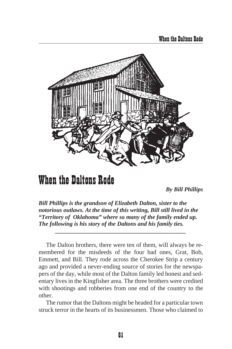![](_page_7_Picture_1.jpeg)

## When the Daltons Rode

*By Bill Phillips*

*Bill Phillips is the grandson of Elizabeth Dalton, sister to the notorious outlaws. At the time of this writing, Bill still lived in the "Territory of Oklahoma" where so many of the family ended up. The following is his story of the Daltons and his family ties.*

*\_\_\_\_\_\_\_\_\_\_\_\_\_\_\_\_\_\_\_\_\_\_\_\_\_\_\_\_\_\_\_\_\_\_\_\_\_\_\_\_\_\_\_\_*

The Dalton brothers, there were ten of them, will always be remembered for the misdeeds of the four bad ones, Grat, Bob, Emmett, and Bill. They rode across the Cherokee Strip a century ago and provided a never-ending source of stories for the newspapers of the day, while most of the Dalton family led honest and sedentary lives in the King fisher area. The three brothers were credited with shootings and robberies from one end of the country to the other.

The rumor that the Daltons might be headed for a particular town struck terror in the hearts of its businessmen. Those who claimed to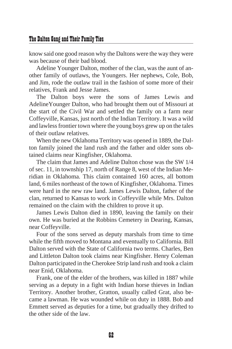#### The Dalton Gang and Their Family Ties

know said one good reason why the Daltons were the way they were was because of their bad blood.

Adeline Younger Dalton, mother of the clan, was the aunt of another family of outlaws, the Youngers. Her nephews, Cole, Bob, and Jim, rode the outlaw trail in the fashion of some more of their relatives, Frank and Jesse James.

The Dalton boys were the sons of James Lewis and Adeline Younger Dalton, who had brought them out of Missouri at the start of the Civil War and settled the family on a farm near Coffeyville, Kansas, just north of the Indian Territory. It was a wild and lawless frontier town where the young boys grew up on the tales of their outlaw relatives.

When the new Oklahoma Territory was opened in 1889, the Dalton family joined the land rush and the father and older sons obtained claims near Kingfisher, Oklahoma.

The claim that James and Adeline Dalton chose was the SW 1/4 of sec. 11, in township 17, north of Range 8, west of the Indian Meridian in Oklahoma. This claim contained 160 acres, all bottom land, 6 miles northeast of the town of Kingfisher, Oklahoma. Times were hard in the new raw land. James Lewis Dalton, father of the clan, returned to Kansas to work in Coffeyville while Mrs. Dalton remained on the claim with the children to prove it up.

James Lewis Dalton died in 1890, leaving the family on their own. He was buried at the Robbins Cemetery in Dearing, Kansas, near Coffeyville.

Four of the sons served as deputy marshals from time to time while the fifth moved to Montana and eventually to California. Bill Dalton served with the State of California two terms. Charles, Ben and Littleton Dalton took claims near Kingfisher. Henry Coleman Dalton participated in the Cherokee Strip land rush and took a claim near Enid, Oklahoma.

Frank, one of the elder of the brothers, was killed in 1887 while serving as a deputy in a fight with Indian horse thieves in Indian Territory. Another brother, Gratton, usually called Grat, also became a lawman. He was wounded while on duty in 1888. Bob and Emmett served as deputies for a time, but gradually they drifted to the other side of the law.